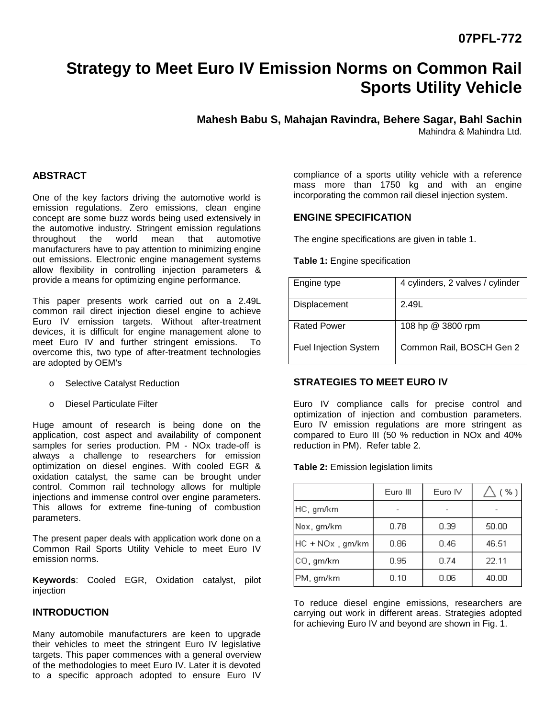# **Strategy to Meet Euro IV Emission Norms on Common Rail Sports Utility Vehicle**

**Mahesh Babu S, Mahajan Ravindra, Behere Sagar, Bahl Sachin**  Mahindra & Mahindra Ltd.

# **ABSTRACT**

One of the key factors driving the automotive world is emission regulations. Zero emissions, clean engine concept are some buzz words being used extensively in the automotive industry. Stringent emission regulations throughout the world mean that automotive manufacturers have to pay attention to minimizing engine out emissions. Electronic engine management systems allow flexibility in controlling injection parameters & provide a means for optimizing engine performance.

This paper presents work carried out on a 2.49L common rail direct injection diesel engine to achieve Euro IV emission targets. Without after-treatment devices, it is difficult for engine management alone to meet Euro IV and further stringent emissions. To overcome this, two type of after-treatment technologies are adopted by OEM's

- o Selective Catalyst Reduction
- o Diesel Particulate Filter

Huge amount of research is being done on the application, cost aspect and availability of component samples for series production. PM - NOx trade-off is always a challenge to researchers for emission optimization on diesel engines. With cooled EGR & oxidation catalyst, the same can be brought under control. Common rail technology allows for multiple injections and immense control over engine parameters. This allows for extreme fine-tuning of combustion parameters.

The present paper deals with application work done on a Common Rail Sports Utility Vehicle to meet Euro IV emission norms.

**Keywords**: Cooled EGR, Oxidation catalyst, pilot injection

#### **INTRODUCTION**

Many automobile manufacturers are keen to upgrade their vehicles to meet the stringent Euro IV legislative targets. This paper commences with a general overview of the methodologies to meet Euro IV. Later it is devoted to a specific approach adopted to ensure Euro IV

compliance of a sports utility vehicle with a reference mass more than 1750 kg and with an engine incorporating the common rail diesel injection system.

## **ENGINE SPECIFICATION**

The engine specifications are given in table 1.

#### **Table 1:** Engine specification

| Engine type                  | 4 cylinders, 2 valves / cylinder |  |  |
|------------------------------|----------------------------------|--|--|
| Displacement                 | 2.49L                            |  |  |
| <b>Rated Power</b>           | 108 hp @ 3800 rpm                |  |  |
| <b>Fuel Injection System</b> | Common Rail, BOSCH Gen 2         |  |  |

## **STRATEGIES TO MEET EURO IV**

Euro IV compliance calls for precise control and optimization of injection and combustion parameters. Euro IV emission regulations are more stringent as compared to Euro III (50 % reduction in NOx and 40% reduction in PM). Refer table 2.

#### **Table 2:** Emission legislation limits

|                 | Euro III | Euro IV | $(*\%)$ |
|-----------------|----------|---------|---------|
| HC, gm/km       |          |         |         |
| Nox, gm/km      | 0.78     | 0.39    | 50.00   |
| HC + NOx, gm/km | 0.86     | 0.46    | 46.51   |
| CO, gm/km       | 0.95     | 0.74    | 22.11   |
| PM, gm/km       | 0.10     | 0.06    | 40.00   |

To reduce diesel engine emissions, researchers are carrying out work in different areas. Strategies adopted for achieving Euro IV and beyond are shown in Fig. 1.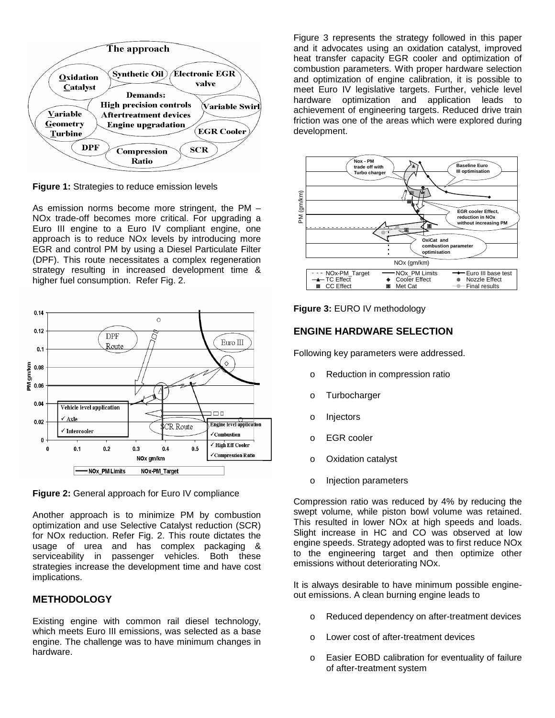

**Figure 1:** Strategies to reduce emission levels

As emission norms become more stringent, the PM – NOx trade-off becomes more critical. For upgrading a Euro III engine to a Euro IV compliant engine, one approach is to reduce NOx levels by introducing more EGR and control PM by using a Diesel Particulate Filter (DPF). This route necessitates a complex regeneration strategy resulting in increased development time & higher fuel consumption. Refer Fig. 2.



**Figure 2:** General approach for Euro IV compliance

Another approach is to minimize PM by combustion optimization and use Selective Catalyst reduction (SCR) for NOx reduction. Refer Fig. 2. This route dictates the usage of urea and has complex packaging & serviceability in passenger vehicles. Both these strategies increase the development time and have cost implications.

## **METHODOLOGY**

Existing engine with common rail diesel technology, which meets Euro III emissions, was selected as a base engine. The challenge was to have minimum changes in hardware.

Figure 3 represents the strategy followed in this paper and it advocates using an oxidation catalyst, improved heat transfer capacity EGR cooler and optimization of combustion parameters. With proper hardware selection and optimization of engine calibration, it is possible to meet Euro IV legislative targets. Further, vehicle level hardware optimization and application leads to achievement of engineering targets. Reduced drive train friction was one of the areas which were explored during development.



#### **Figure 3:** EURO IV methodology

# **ENGINE HARDWARE SELECTION**

Following key parameters were addressed.

- o Reduction in compression ratio
- o Turbocharger
- o Injectors
- o EGR cooler
- o Oxidation catalyst
- o Injection parameters

Compression ratio was reduced by 4% by reducing the swept volume, while piston bowl volume was retained. This resulted in lower NOx at high speeds and loads. Slight increase in HC and CO was observed at low engine speeds. Strategy adopted was to first reduce NOx to the engineering target and then optimize other emissions without deteriorating NOx.

It is always desirable to have minimum possible engineout emissions. A clean burning engine leads to

- o Reduced dependency on after-treatment devices
- o Lower cost of after-treatment devices
- o Easier EOBD calibration for eventuality of failure of after-treatment system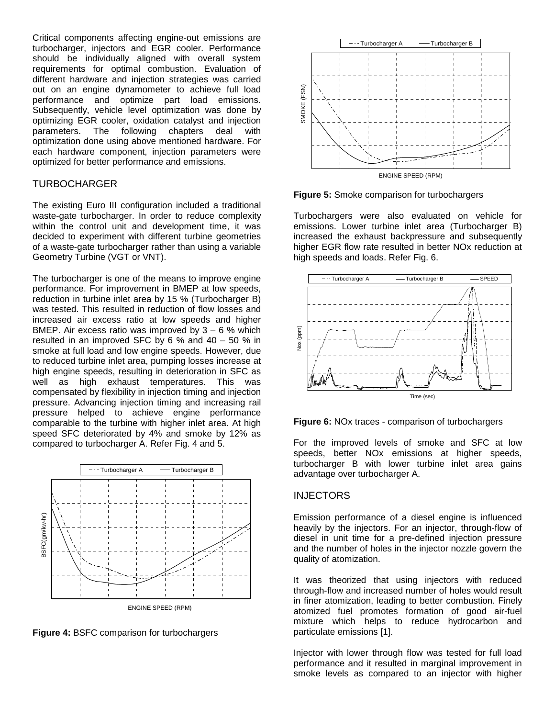Critical components affecting engine-out emissions are turbocharger, injectors and EGR cooler. Performance should be individually aligned with overall system requirements for optimal combustion. Evaluation of different hardware and injection strategies was carried out on an engine dynamometer to achieve full load performance and optimize part load emissions. Subsequently, vehicle level optimization was done by optimizing EGR cooler, oxidation catalyst and injection parameters. The following chapters deal with optimization done using above mentioned hardware. For each hardware component, injection parameters were optimized for better performance and emissions.

#### TURBOCHARGER

The existing Euro III configuration included a traditional waste-gate turbocharger. In order to reduce complexity within the control unit and development time, it was decided to experiment with different turbine geometries of a waste-gate turbocharger rather than using a variable Geometry Turbine (VGT or VNT).

The turbocharger is one of the means to improve engine performance. For improvement in BMEP at low speeds, reduction in turbine inlet area by 15 % (Turbocharger B) was tested. This resulted in reduction of flow losses and increased air excess ratio at low speeds and higher BMEP. Air excess ratio was improved by  $3 - 6$  % which resulted in an improved SFC by 6 % and 40 – 50 % in smoke at full load and low engine speeds. However, due to reduced turbine inlet area, pumping losses increase at high engine speeds, resulting in deterioration in SFC as well as high exhaust temperatures. This was compensated by flexibility in injection timing and injection pressure. Advancing injection timing and increasing rail pressure helped to achieve engine performance comparable to the turbine with higher inlet area. At high speed SFC deteriorated by 4% and smoke by 12% as compared to turbocharger A. Refer Fig. 4 and 5.



**Figure 4:** BSFC comparison for turbochargers



**Figure 5:** Smoke comparison for turbochargers

Turbochargers were also evaluated on vehicle for emissions. Lower turbine inlet area (Turbocharger B) increased the exhaust backpressure and subsequently higher EGR flow rate resulted in better NOx reduction at high speeds and loads. Refer Fig. 6.



**Figure 6:** NOx traces - comparison of turbochargers

For the improved levels of smoke and SFC at low speeds, better NOx emissions at higher speeds, turbocharger B with lower turbine inlet area gains advantage over turbocharger A.

#### INJECTORS

Emission performance of a diesel engine is influenced heavily by the injectors. For an injector, through-flow of diesel in unit time for a pre-defined injection pressure and the number of holes in the injector nozzle govern the quality of atomization.

It was theorized that using injectors with reduced through-flow and increased number of holes would result in finer atomization, leading to better combustion. Finely atomized fuel promotes formation of good air-fuel mixture which helps to reduce hydrocarbon and particulate emissions [1].

Injector with lower through flow was tested for full load performance and it resulted in marginal improvement in smoke levels as compared to an injector with higher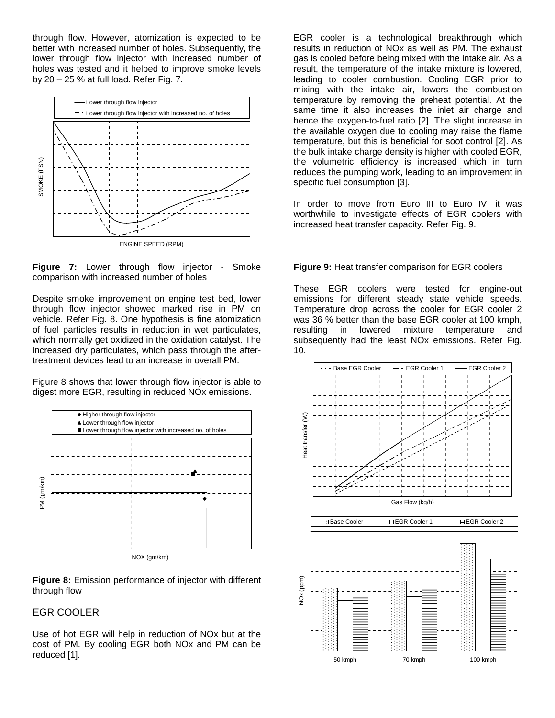through flow. However, atomization is expected to be better with increased number of holes. Subsequently, the lower through flow injector with increased number of holes was tested and it helped to improve smoke levels by 20 – 25 % at full load. Refer Fig. 7.



**Figure 7:** Lower through flow injector - Smoke comparison with increased number of holes

Despite smoke improvement on engine test bed, lower through flow injector showed marked rise in PM on vehicle. Refer Fig. 8. One hypothesis is fine atomization of fuel particles results in reduction in wet particulates, which normally get oxidized in the oxidation catalyst. The increased dry particulates, which pass through the aftertreatment devices lead to an increase in overall PM.

Figure 8 shows that lower through flow injector is able to digest more EGR, resulting in reduced NOx emissions.



**Figure 8:** Emission performance of injector with different through flow

## EGR COOLER

Use of hot EGR will help in reduction of NOx but at the cost of PM. By cooling EGR both NOx and PM can be reduced [1].

EGR cooler is a technological breakthrough which results in reduction of NOx as well as PM. The exhaust gas is cooled before being mixed with the intake air. As a result, the temperature of the intake mixture is lowered, leading to cooler combustion. Cooling EGR prior to mixing with the intake air, lowers the combustion temperature by removing the preheat potential. At the same time it also increases the inlet air charge and hence the oxygen-to-fuel ratio [2]. The slight increase in the available oxygen due to cooling may raise the flame temperature, but this is beneficial for soot control [2]. As the bulk intake charge density is higher with cooled EGR, the volumetric efficiency is increased which in turn reduces the pumping work, leading to an improvement in specific fuel consumption [3].

In order to move from Euro III to Euro IV, it was worthwhile to investigate effects of EGR coolers with increased heat transfer capacity. Refer Fig. 9.

#### **Figure 9:** Heat transfer comparison for EGR coolers

These EGR coolers were tested for engine-out emissions for different steady state vehicle speeds. Temperature drop across the cooler for EGR cooler 2 was 36 % better than the base EGR cooler at 100 kmph, resulting in lowered mixture temperature and subsequently had the least NOx emissions. Refer Fig. 10.

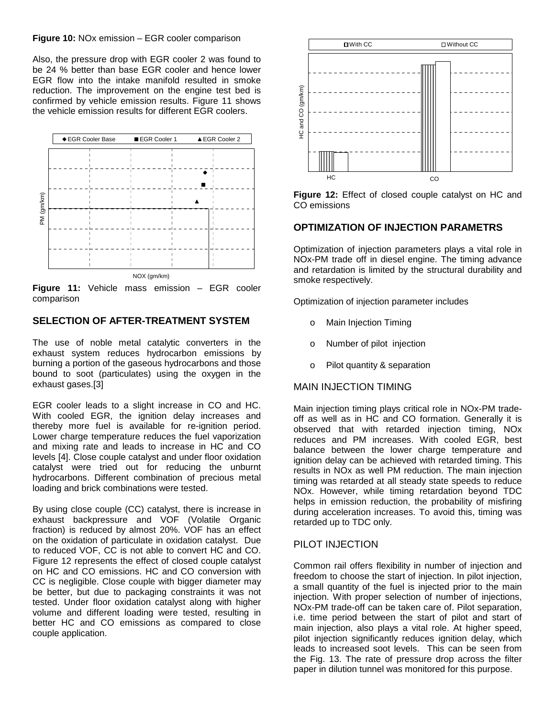#### **Figure 10:** NOx emission – EGR cooler comparison

Also, the pressure drop with EGR cooler 2 was found to be 24 % better than base EGR cooler and hence lower EGR flow into the intake manifold resulted in smoke reduction. The improvement on the engine test bed is confirmed by vehicle emission results. Figure 11 shows the vehicle emission results for different EGR coolers.



**Figure 11:** Vehicle mass emission – EGR cooler comparison

# **SELECTION OF AFTER-TREATMENT SYSTEM**

The use of noble metal catalytic converters in the exhaust system reduces hydrocarbon emissions by burning a portion of the gaseous hydrocarbons and those bound to soot (particulates) using the oxygen in the exhaust gases.[3]

EGR cooler leads to a slight increase in CO and HC. With cooled EGR, the ignition delay increases and thereby more fuel is available for re-ignition period. Lower charge temperature reduces the fuel vaporization and mixing rate and leads to increase in HC and CO levels [4]. Close couple catalyst and under floor oxidation catalyst were tried out for reducing the unburnt hydrocarbons. Different combination of precious metal loading and brick combinations were tested.

By using close couple (CC) catalyst, there is increase in exhaust backpressure and VOF (Volatile Organic fraction) is reduced by almost 20%. VOF has an effect on the oxidation of particulate in oxidation catalyst. Due to reduced VOF, CC is not able to convert HC and CO. Figure 12 represents the effect of closed couple catalyst on HC and CO emissions. HC and CO conversion with CC is negligible. Close couple with bigger diameter may be better, but due to packaging constraints it was not tested. Under floor oxidation catalyst along with higher volume and different loading were tested, resulting in better HC and CO emissions as compared to close couple application.



**Figure 12:** Effect of closed couple catalyst on HC and CO emissions

## **OPTIMIZATION OF INJECTION PARAMETRS**

Optimization of injection parameters plays a vital role in NOx-PM trade off in diesel engine. The timing advance and retardation is limited by the structural durability and smoke respectively.

Optimization of injection parameter includes

- o Main Injection Timing
- o Number of pilot injection
- o Pilot quantity & separation

## MAIN INJECTION TIMING

Main injection timing plays critical role in NOx-PM tradeoff as well as in HC and CO formation. Generally it is observed that with retarded injection timing, NOx reduces and PM increases. With cooled EGR, best balance between the lower charge temperature and ignition delay can be achieved with retarded timing. This results in NOx as well PM reduction. The main injection timing was retarded at all steady state speeds to reduce NOx. However, while timing retardation beyond TDC helps in emission reduction, the probability of misfiring during acceleration increases. To avoid this, timing was retarded up to TDC only.

## PILOT INJECTION

Common rail offers flexibility in number of injection and freedom to choose the start of injection. In pilot injection, a small quantity of the fuel is injected prior to the main injection. With proper selection of number of injections, NOx-PM trade-off can be taken care of. Pilot separation, i.e. time period between the start of pilot and start of main injection, also plays a vital role. At higher speed, pilot injection significantly reduces ignition delay, which leads to increased soot levels. This can be seen from the Fig. 13. The rate of pressure drop across the filter paper in dilution tunnel was monitored for this purpose.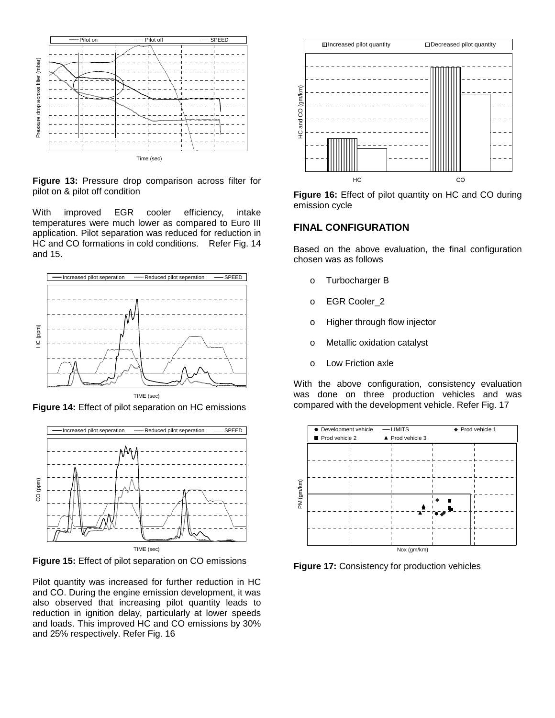

**Figure 13:** Pressure drop comparison across filter for pilot on & pilot off condition

With improved EGR cooler efficiency, intake temperatures were much lower as compared to Euro III application. Pilot separation was reduced for reduction in HC and CO formations in cold conditions. Refer Fig. 14 and 15.



**Figure 14:** Effect of pilot separation on HC emissions



**Figure 15:** Effect of pilot separation on CO emissions

Pilot quantity was increased for further reduction in HC and CO. During the engine emission development, it was also observed that increasing pilot quantity leads to reduction in ignition delay, particularly at lower speeds and loads. This improved HC and CO emissions by 30% and 25% respectively. Refer Fig. 16



**Figure 16:** Effect of pilot quantity on HC and CO during emission cycle

#### **FINAL CONFIGURATION**

Based on the above evaluation, the final configuration chosen was as follows

- o Turbocharger B
- o **EGR Cooler 2**
- o Higher through flow injector
- o Metallic oxidation catalyst
- o Low Friction axle

With the above configuration, consistency evaluation was done on three production vehicles and was compared with the development vehicle. Refer Fig. 17



**Figure 17:** Consistency for production vehicles